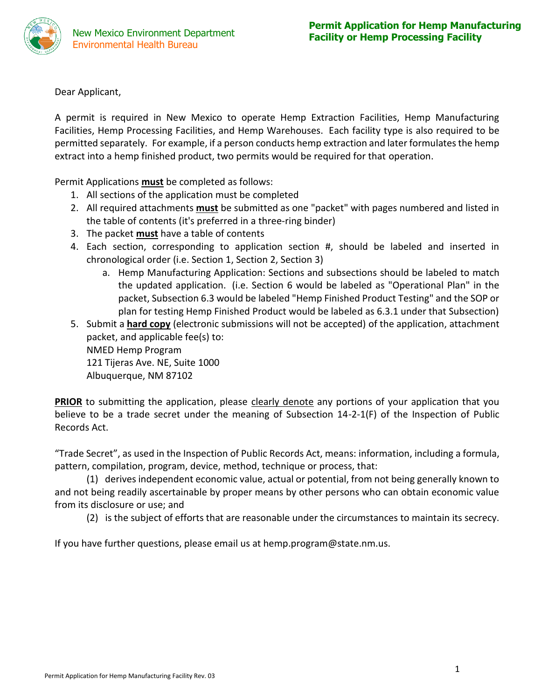

Dear Applicant,

A permit is required in New Mexico to operate Hemp Extraction Facilities, Hemp Manufacturing Facilities, Hemp Processing Facilities, and Hemp Warehouses. Each facility type is also required to be permitted separately. For example, if a person conducts hemp extraction and later formulates the hemp extract into a hemp finished product, two permits would be required for that operation.

Permit Applications **must** be completed as follows:

- 1. All sections of the application must be completed
- 2. All required attachments **must** be submitted as one "packet" with pages numbered and listed in the table of contents (it's preferred in a three-ring binder)
- 3. The packet **must** have a table of contents
- 4. Each section, corresponding to application section #, should be labeled and inserted in chronological order (i.e. Section 1, Section 2, Section 3)
	- a. Hemp Manufacturing Application: Sections and subsections should be labeled to match the updated application. (i.e. Section 6 would be labeled as "Operational Plan" in the packet, Subsection 6.3 would be labeled "Hemp Finished Product Testing" and the SOP or plan for testing Hemp Finished Product would be labeled as 6.3.1 under that Subsection)
- 5. Submit a **hard copy** (electronic submissions will not be accepted) of the application, attachment packet, and applicable fee(s) to: NMED Hemp Program 121 Tijeras Ave. NE, Suite 1000 Albuquerque, NM 87102

**PRIOR** to submitting the application, please clearly denote any portions of your application that you believe to be a trade secret under the meaning of Subsection 14-2-1(F) of the Inspection of Public Records Act.

"Trade Secret", as used in the Inspection of Public Records Act, means: information, including a formula, pattern, compilation, program, device, method, technique or process, that:

(1) derives independent economic value, actual or potential, from not being generally known to and not being readily ascertainable by proper means by other persons who can obtain economic value from its disclosure or use; and

(2) is the subject of efforts that are reasonable under the circumstances to maintain its secrecy.

If you have further questions, please email us at hemp.program@state.nm.us.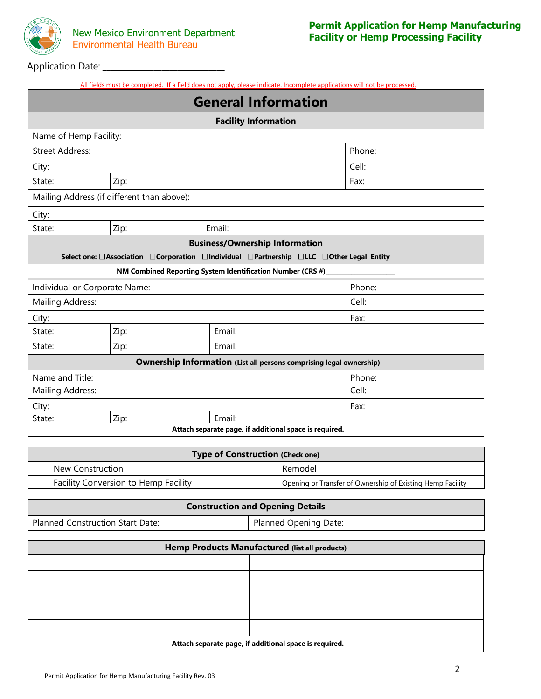

m.

#### Nato<sup>.</sup> Mexico Application Date: **\_\_\_\_\_\_\_\_\_\_\_\_\_\_\_\_\_\_\_\_\_\_\_\_\_\_\_\_\_\_\_**

| All fields must be completed. If a field does not apply, please indicate. Incomplete applications will not be processed. |
|--------------------------------------------------------------------------------------------------------------------------|
|--------------------------------------------------------------------------------------------------------------------------|

|                        |                                            | <b>General Information</b>                                                              |        |
|------------------------|--------------------------------------------|-----------------------------------------------------------------------------------------|--------|
|                        |                                            | <b>Facility Information</b>                                                             |        |
| Name of Hemp Facility: |                                            |                                                                                         |        |
| <b>Street Address:</b> |                                            |                                                                                         | Phone: |
| City:                  |                                            |                                                                                         | Cell:  |
| State:                 | Zip:                                       |                                                                                         | Fax:   |
|                        | Mailing Address (if different than above): |                                                                                         |        |
| City:                  |                                            |                                                                                         |        |
| State:                 | Zip:                                       | Email:                                                                                  |        |
|                        |                                            | <b>Business/Ownership Information</b>                                                   |        |
|                        |                                            | Select one: □Association □Corporation □Individual □Partnership □LLC □Other Legal Entity |        |
|                        |                                            | NM Combined Reporting System Identification Number (CRS #)                              |        |
|                        | Individual or Corporate Name:              |                                                                                         | Phone: |
| Mailing Address:       |                                            |                                                                                         | Cell:  |
| City:                  |                                            |                                                                                         | Fax:   |
| State:                 | Zip:                                       | Email:                                                                                  |        |
| State:                 | Zip:                                       | Email:                                                                                  |        |
|                        |                                            | <b>Ownership Information (List all persons comprising legal ownership)</b>              |        |
| Name and Title:        |                                            |                                                                                         | Phone: |
| Mailing Address:       |                                            |                                                                                         | Cell:  |
| City:                  |                                            |                                                                                         | Fax:   |
| State:                 | Zip:                                       | Email:                                                                                  |        |
|                        |                                            | Attach separate page, if additional space is required.                                  |        |

| <b>Type of Construction (Check one)</b>     |  |                                                            |  |  |  |
|---------------------------------------------|--|------------------------------------------------------------|--|--|--|
| New Construction                            |  | Remodel                                                    |  |  |  |
| <b>Facility Conversion to Hemp Facility</b> |  | Opening or Transfer of Ownership of Existing Hemp Facility |  |  |  |

| <b>Construction and Opening Details</b> |  |                       |  |  |  |
|-----------------------------------------|--|-----------------------|--|--|--|
| Planned Construction Start Date:        |  | Planned Opening Date: |  |  |  |

| Hemp Products Manufactured (list all products)         |  |  |  |
|--------------------------------------------------------|--|--|--|
|                                                        |  |  |  |
|                                                        |  |  |  |
|                                                        |  |  |  |
|                                                        |  |  |  |
|                                                        |  |  |  |
| Attach separate page, if additional space is required. |  |  |  |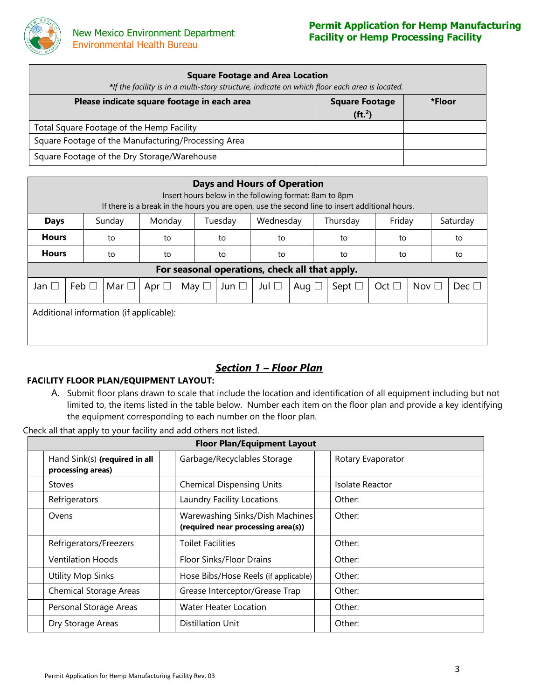

| <b>Square Footage and Area Location</b><br>*If the facility is in a multi-story structure, indicate on which floor each area is located. |                                             |        |  |  |  |  |  |
|------------------------------------------------------------------------------------------------------------------------------------------|---------------------------------------------|--------|--|--|--|--|--|
| Please indicate square footage in each area                                                                                              | <b>Square Footage</b><br>(ft <sup>2</sup> ) | *Floor |  |  |  |  |  |
| Total Square Footage of the Hemp Facility                                                                                                |                                             |        |  |  |  |  |  |
| Square Footage of the Manufacturing/Processing Area                                                                                      |                                             |        |  |  |  |  |  |
| Square Footage of the Dry Storage/Warehouse                                                                                              |                                             |        |  |  |  |  |  |

| <b>Days and Hours of Operation</b><br>Insert hours below in the following format: 8am to 8pm<br>If there is a break in the hours you are open, use the second line to insert additional hours. |                                                                |            |            |               |               |               |            |                                                |               |               |               |
|------------------------------------------------------------------------------------------------------------------------------------------------------------------------------------------------|----------------------------------------------------------------|------------|------------|---------------|---------------|---------------|------------|------------------------------------------------|---------------|---------------|---------------|
| <b>Days</b>                                                                                                                                                                                    | Friday<br>Monday<br>Wednesday<br>Thursday<br>Sunday<br>Tuesday |            |            |               |               |               |            | Saturday                                       |               |               |               |
| <b>Hours</b>                                                                                                                                                                                   |                                                                | to         | to         |               | to            | to            |            | to                                             |               | to<br>to      |               |
| <b>Hours</b>                                                                                                                                                                                   |                                                                | to         | to         |               | to            | to            |            | to                                             | to            |               | to            |
|                                                                                                                                                                                                |                                                                |            |            |               |               |               |            | For seasonal operations, check all that apply. |               |               |               |
| Jan $\square$                                                                                                                                                                                  | Feb $\Box$                                                     | Mar $\Box$ | Apr $\Box$ | May $\square$ | Jun $\square$ | Jul $\square$ | Aug $\Box$ | Sept $\square$                                 | Oct $\square$ | Nov $\square$ | Dec $\square$ |
| Additional information (if applicable):                                                                                                                                                        |                                                                |            |            |               |               |               |            |                                                |               |               |               |

## *Section 1 – Floor Plan*

### **FACILITY FLOOR PLAN/EQUIPMENT LAYOUT:**

A. Submit floor plans drawn to scale that include the location and identification of all equipment including but not limited to, the items listed in the table below. Number each item on the floor plan and provide a key identifying the equipment corresponding to each number on the floor plan.

Check all that apply to your facility and add others not listed.

| <b>Floor Plan/Equipment Layout</b>                 |                                                                       |  |                   |  |  |  |
|----------------------------------------------------|-----------------------------------------------------------------------|--|-------------------|--|--|--|
| Hand Sink(s) (required in all<br>processing areas) | Garbage/Recyclables Storage                                           |  | Rotary Evaporator |  |  |  |
| Stoves                                             | <b>Chemical Dispensing Units</b>                                      |  | Isolate Reactor   |  |  |  |
| Refrigerators                                      | Laundry Facility Locations                                            |  | Other:            |  |  |  |
| Ovens                                              | Warewashing Sinks/Dish Machines<br>(required near processing area(s)) |  | Other:            |  |  |  |
| Refrigerators/Freezers                             | <b>Toilet Facilities</b>                                              |  | Other:            |  |  |  |
| <b>Ventilation Hoods</b>                           | Floor Sinks/Floor Drains                                              |  | Other:            |  |  |  |
| <b>Utility Mop Sinks</b>                           | Hose Bibs/Hose Reels (if applicable)                                  |  | Other:            |  |  |  |
| <b>Chemical Storage Areas</b>                      | Grease Interceptor/Grease Trap                                        |  | Other:            |  |  |  |
| Personal Storage Areas                             | Water Heater Location                                                 |  | Other:            |  |  |  |
| Dry Storage Areas                                  | Distillation Unit                                                     |  | Other:            |  |  |  |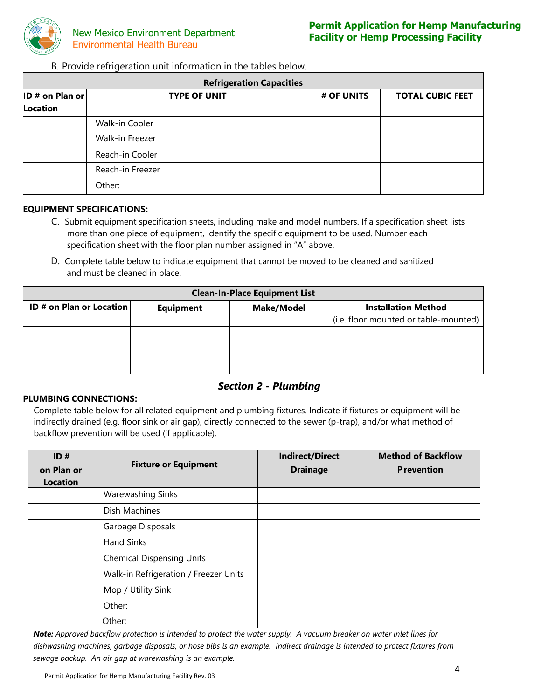

B. Provide refrigeration unit information in the tables below.

| <b>Refrigeration Capacities</b> |                     |            |                         |  |  |  |  |
|---------------------------------|---------------------|------------|-------------------------|--|--|--|--|
| <b>ID # on Plan or</b>          | <b>TYPE OF UNIT</b> | # OF UNITS | <b>TOTAL CUBIC FEET</b> |  |  |  |  |
| <b>Location</b>                 |                     |            |                         |  |  |  |  |
|                                 | Walk-in Cooler      |            |                         |  |  |  |  |
|                                 | Walk-in Freezer     |            |                         |  |  |  |  |
|                                 | Reach-in Cooler     |            |                         |  |  |  |  |
|                                 | Reach-in Freezer    |            |                         |  |  |  |  |
|                                 | Other:              |            |                         |  |  |  |  |

#### **EQUIPMENT SPECIFICATIONS:**

- C. Submit equipment specification sheets, including make and model numbers. If a specification sheet lists more than one piece of equipment, identify the specific equipment to be used. Number each specification sheet with the floor plan number assigned in "A" above.
- D. Complete table below to indicate equipment that cannot be moved to be cleaned and sanitized and must be cleaned in place.

| <b>Clean-In-Place Equipment List</b>                                                                   |  |  |                                       |  |  |  |
|--------------------------------------------------------------------------------------------------------|--|--|---------------------------------------|--|--|--|
| <b>ID # on Plan or Location</b><br><b>Make/Model</b><br><b>Installation Method</b><br><b>Equipment</b> |  |  |                                       |  |  |  |
|                                                                                                        |  |  | (i.e. floor mounted or table-mounted) |  |  |  |
|                                                                                                        |  |  |                                       |  |  |  |
|                                                                                                        |  |  |                                       |  |  |  |
|                                                                                                        |  |  |                                       |  |  |  |

## *Section 2 - Plumbing*

#### **PLUMBING CONNECTIONS:**

Complete table below for all related equipment and plumbing fixtures. Indicate if fixtures or equipment will be indirectly drained (e.g. floor sink or air gap), directly connected to the sewer (p-trap), and/or what method of backflow prevention will be used (if applicable).

| ID#<br>on Plan or<br><b>Location</b> | <b>Fixture or Equipment</b>           | <b>Indirect/Direct</b><br><b>Drainage</b> | <b>Method of Backflow</b><br><b>P</b> revention |
|--------------------------------------|---------------------------------------|-------------------------------------------|-------------------------------------------------|
|                                      | <b>Warewashing Sinks</b>              |                                           |                                                 |
|                                      | Dish Machines                         |                                           |                                                 |
|                                      | Garbage Disposals                     |                                           |                                                 |
|                                      | <b>Hand Sinks</b>                     |                                           |                                                 |
|                                      | <b>Chemical Dispensing Units</b>      |                                           |                                                 |
|                                      | Walk-in Refrigeration / Freezer Units |                                           |                                                 |
|                                      | Mop / Utility Sink                    |                                           |                                                 |
|                                      | Other:                                |                                           |                                                 |
|                                      | Other:                                |                                           |                                                 |

*Note: Approved backflow protection is intended to protect the water supply. A vacuum breaker on water inlet lines for dishwashing machines, garbage disposals, or hose bibs is an example. Indirect drainage is intended to protect fixtures from sewage backup. An air gap at warewashing is an example.*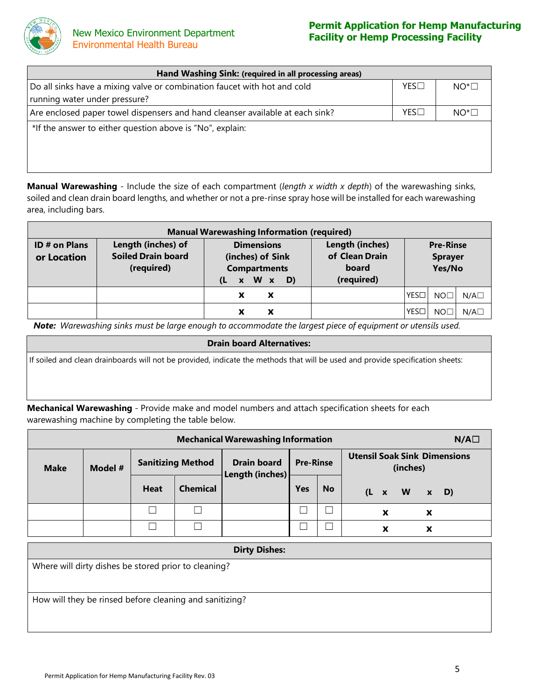

| Hand Washing Sink: (required in all processing areas)                                                     |     |              |  |  |  |
|-----------------------------------------------------------------------------------------------------------|-----|--------------|--|--|--|
| Do all sinks have a mixing valve or combination faucet with hot and cold<br>running water under pressure? | YES | $NOT^* \Box$ |  |  |  |
| Are enclosed paper towel dispensers and hand cleanser available at each sink?                             | YES | $NO^*\Box$   |  |  |  |
| *If the answer to either question above is "No", explain:                                                 |     |              |  |  |  |

**Manual Warewashing** - Include the size of each compartment (*length x width x depth*) of the warewashing sinks, soiled and clean drain board lengths, and whether or not a pre-rinse spray hose will be installed for each warewashing area, including bars.

| <b>Manual Warewashing Information (required)</b> |                                                               |                                                                                                              |                                                          |                                              |  |  |  |  |
|--------------------------------------------------|---------------------------------------------------------------|--------------------------------------------------------------------------------------------------------------|----------------------------------------------------------|----------------------------------------------|--|--|--|--|
| <b>ID # on Plans</b><br>or Location              | Length (inches) of<br><b>Soiled Drain board</b><br>(required) | <b>Dimensions</b><br>(inches) of Sink<br><b>Compartments</b><br>W x<br>D)<br>(L<br>$\boldsymbol{\mathsf{x}}$ | Length (inches)<br>of Clean Drain<br>board<br>(required) | <b>Pre-Rinse</b><br><b>Sprayer</b><br>Yes/No |  |  |  |  |
|                                                  |                                                               | х<br>x                                                                                                       |                                                          | YES□<br>$N/A\square$<br>NO <sub>1</sub>      |  |  |  |  |
|                                                  |                                                               | х<br>x                                                                                                       |                                                          | YESE<br>$N/A\square$<br>NO.                  |  |  |  |  |

Note: Warewashing sinks must be large enough to accommodate the largest piece of equipment or utensils used.

#### **Drain board Alternatives:**

If soiled and clean drainboards will not be provided, indicate the methods that will be used and provide specification sheets:

**Mechanical Warewashing** - Provide make and model numbers and attach specification sheets for each warewashing machine by completing the table below.

| <b>Mechanical Warewashing Information</b> |  |             |                          |                                       |                  |           |                                                 |   |                         |                           | $N/A\square$ |
|-------------------------------------------|--|-------------|--------------------------|---------------------------------------|------------------|-----------|-------------------------------------------------|---|-------------------------|---------------------------|--------------|
| Model #<br><b>Make</b>                    |  |             | <b>Sanitizing Method</b> | <b>Drain board</b><br>Length (inches) | <b>Pre-Rinse</b> |           | <b>Utensil Soak Sink Dimensions</b><br>(inches) |   |                         |                           |              |
|                                           |  | <b>Heat</b> | <b>Chemical</b>          |                                       | Yes              | <b>No</b> |                                                 |   | $(L \times W \times D)$ |                           |              |
|                                           |  |             | П                        |                                       |                  |           |                                                 | X |                         | $\boldsymbol{\mathsf{x}}$ |              |
|                                           |  |             |                          |                                       |                  |           |                                                 | X |                         | X                         |              |

| <b>Dirty Dishes:</b>                                    |
|---------------------------------------------------------|
| Where will dirty dishes be stored prior to cleaning?    |
|                                                         |
| How will they be rinsed before cleaning and sanitizing? |
|                                                         |
|                                                         |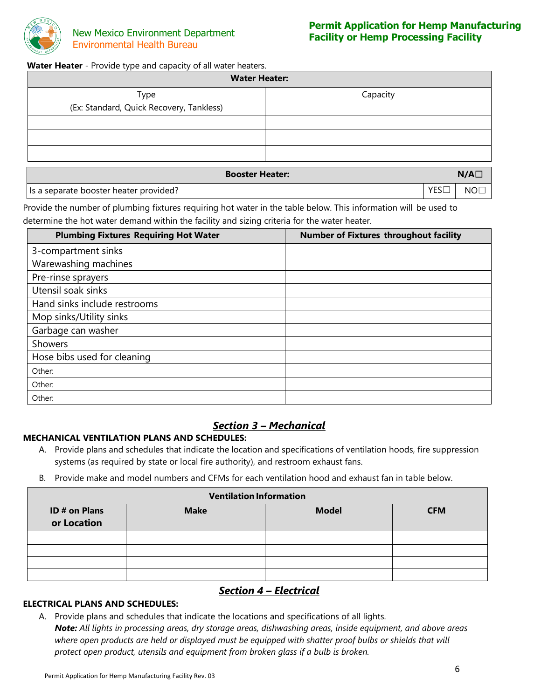

#### Water Heater - Provide type and capacity of all water heaters.

| <b>Water Heater:</b>                             |                               |  |  |  |
|--------------------------------------------------|-------------------------------|--|--|--|
| Type<br>(Ex: Standard, Quick Recovery, Tankless) | Capacity                      |  |  |  |
|                                                  |                               |  |  |  |
|                                                  |                               |  |  |  |
|                                                  |                               |  |  |  |
|                                                  | <b>Booster Heater:</b><br>N/A |  |  |  |

Is a separate booster heater provided? In the set of the set of the set of the set of the NO□

Provide the number of plumbing fixtures requiring hot water in the table below. This information will be used to determine the hot water demand within the facility and sizing criteria for the water heater.

| <b>Plumbing Fixtures Requiring Hot Water</b> | <b>Number of Fixtures throughout facility</b> |
|----------------------------------------------|-----------------------------------------------|
| 3-compartment sinks                          |                                               |
| Warewashing machines                         |                                               |
| Pre-rinse sprayers                           |                                               |
| Utensil soak sinks                           |                                               |
| Hand sinks include restrooms                 |                                               |
| Mop sinks/Utility sinks                      |                                               |
| Garbage can washer                           |                                               |
| Showers                                      |                                               |
| Hose bibs used for cleaning                  |                                               |
| Other:                                       |                                               |
| Other:                                       |                                               |
| Other:                                       |                                               |

## *Section 3 – Mechanical*

### **MECHANICAL VENTILATION PLANS AND SCHEDULES:**

- A. Provide plans and schedules that indicate the location and specifications of ventilation hoods, fire suppression systems (as required by state or local fire authority), and restroom exhaust fans.
- B. Provide make and model numbers and CFMs for each ventilation hood and exhaust fan in table below.

| <b>Ventilation Information</b> |             |              |            |  |  |  |  |
|--------------------------------|-------------|--------------|------------|--|--|--|--|
| ID # on Plans<br>or Location   | <b>Make</b> | <b>Model</b> | <b>CFM</b> |  |  |  |  |
|                                |             |              |            |  |  |  |  |
|                                |             |              |            |  |  |  |  |
|                                |             |              |            |  |  |  |  |
|                                |             |              |            |  |  |  |  |

## *Section 4 – Electrical*

#### **ELECTRICAL PLANS AND SCHEDULES:**

A. Provide plans and schedules that indicate the locations and specifications of all lights.

*Note: All lights in processing areas, dry storage areas, dishwashing areas, inside equipment, and above areas where open products are held or displayed must be equipped with shatter proof bulbs or shields that will protect open product, utensils and equipment from broken glass if a bulb is broken.*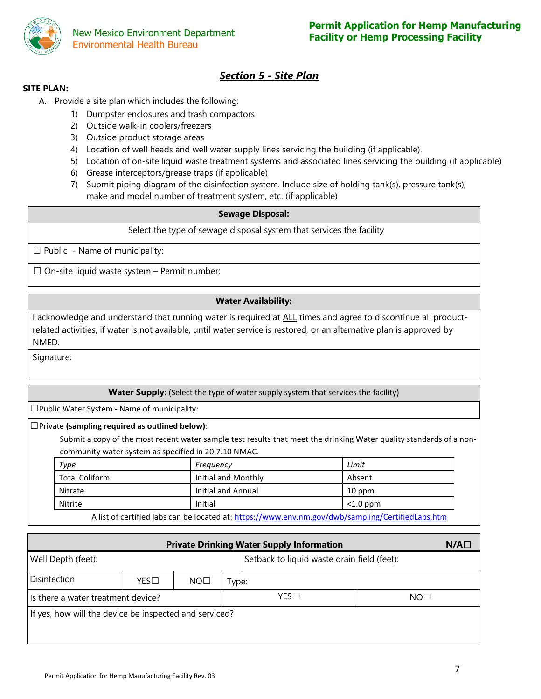

## *Section 5 - Site Plan*

#### **SITE PLAN:**

- A. Provide a site plan which includes the following:
	- 1) Dumpster enclosures and trash compactors
	- 2) Outside walk-in coolers/freezers
	- 3) Outside product storage areas
	- 4) Location of well heads and well water supply lines servicing the building (if applicable).
	- 5) Location of on-site liquid waste treatment systems and associated lines servicing the building (if applicable)
	- 6) Grease interceptors/grease traps (if applicable)
	- 7) Submit piping diagram of the disinfection system. Include size of holding tank(s), pressure tank(s), make and model number of treatment system, etc. (if applicable)

#### **Sewage Disposal:**

Select the type of sewage disposal system that services the facility

 $\Box$  Public - Name of municipality:

 $\Box$  On-site liquid waste system – Permit number:

#### **Water Availability:**

I acknowledge and understand that running water is required at ALL times and agree to discontinue all productrelated activities, if water is not available, until water service is restored, or an alternative plan is approved by NMED.

Signature:

#### **Water Supply:** (Select the type of water supply system that services the facility)

☐Public Water System - Name of municipality:

#### ☐Private **(sampling required as outlined below)**:

Submit a copy of the most recent water sample test results that meet the drinking Water quality standards of a noncommunity water system as specified in 20.7.10 NMAC.

| Type                  | Frequency           | Limit       |
|-----------------------|---------------------|-------------|
| <b>Total Coliform</b> | Initial and Monthly | Absent      |
| Nitrate               | Initial and Annual  | 10 ppm      |
| Nitrite               | Initial             | $<$ 1.0 ppm |
|                       |                     |             |

A list of certified labs can be located at:<https://www.env.nm.gov/dwb/sampling/CertifiedLabs.htm>

| <b>Private Drinking Water Supply Information</b><br>$N/A\square$ |              |                 |       |                                             |                 |  |  |  |
|------------------------------------------------------------------|--------------|-----------------|-------|---------------------------------------------|-----------------|--|--|--|
| Well Depth (feet):                                               |              |                 |       | Setback to liquid waste drain field (feet): |                 |  |  |  |
| Disinfection                                                     | $YES\square$ | NO <sub>1</sub> | Type: |                                             |                 |  |  |  |
| Is there a water treatment device?                               |              |                 |       | $YES\square$                                | NO <sub>1</sub> |  |  |  |
| If yes, how will the device be inspected and serviced?           |              |                 |       |                                             |                 |  |  |  |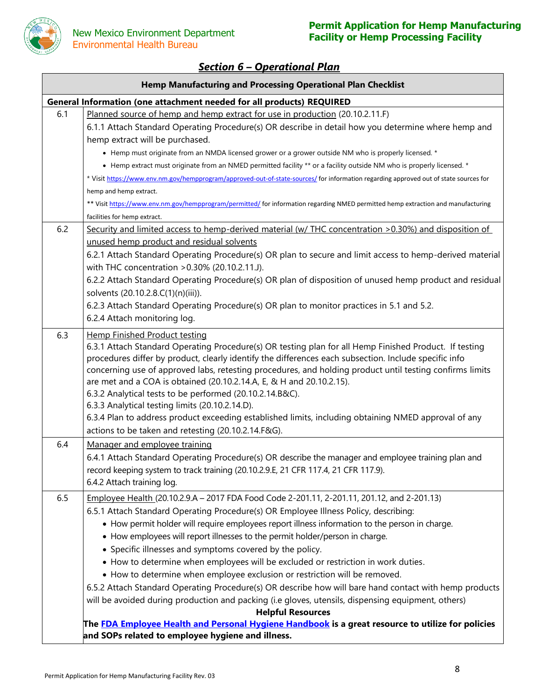

## *Section 6 – Operational Plan*

| <b>Hemp Manufacturing and Processing Operational Plan Checklist</b>   |                                                                                                                                                                                                                                                                                                                                                                                                                                                                                                                                                                                                                                                                                                                                                                                                                                                                                                                                                       |  |  |  |  |  |
|-----------------------------------------------------------------------|-------------------------------------------------------------------------------------------------------------------------------------------------------------------------------------------------------------------------------------------------------------------------------------------------------------------------------------------------------------------------------------------------------------------------------------------------------------------------------------------------------------------------------------------------------------------------------------------------------------------------------------------------------------------------------------------------------------------------------------------------------------------------------------------------------------------------------------------------------------------------------------------------------------------------------------------------------|--|--|--|--|--|
| General Information (one attachment needed for all products) REQUIRED |                                                                                                                                                                                                                                                                                                                                                                                                                                                                                                                                                                                                                                                                                                                                                                                                                                                                                                                                                       |  |  |  |  |  |
| 6.1                                                                   | Planned source of hemp and hemp extract for use in production (20.10.2.11.F)<br>6.1.1 Attach Standard Operating Procedure(s) OR describe in detail how you determine where hemp and<br>hemp extract will be purchased.<br>• Hemp must originate from an NMDA licensed grower or a grower outside NM who is properly licensed. *<br>• Hemp extract must originate from an NMED permitted facility ** or a facility outside NM who is properly licensed. *<br>* Visit https://www.env.nm.gov/hempprogram/approved-out-of-state-sources/ for information regarding approved out of state sources for<br>hemp and hemp extract.<br>** Visit https://www.env.nm.gov/hempprogram/permitted/ for information regarding NMED permitted hemp extraction and manufacturing<br>facilities for hemp extract.                                                                                                                                                      |  |  |  |  |  |
| 6.2                                                                   | Security and limited access to hemp-derived material (w/ THC concentration >0.30%) and disposition of<br>unused hemp product and residual solvents<br>6.2.1 Attach Standard Operating Procedure(s) OR plan to secure and limit access to hemp-derived material<br>with THC concentration > 0.30% (20.10.2.11.J).<br>6.2.2 Attach Standard Operating Procedure(s) OR plan of disposition of unused hemp product and residual<br>solvents (20.10.2.8.C(1)(n)(iii)).<br>6.2.3 Attach Standard Operating Procedure(s) OR plan to monitor practices in 5.1 and 5.2.<br>6.2.4 Attach monitoring log.                                                                                                                                                                                                                                                                                                                                                        |  |  |  |  |  |
| 6.3                                                                   | Hemp Finished Product testing<br>6.3.1 Attach Standard Operating Procedure(s) OR testing plan for all Hemp Finished Product. If testing<br>procedures differ by product, clearly identify the differences each subsection. Include specific info<br>concerning use of approved labs, retesting procedures, and holding product until testing confirms limits<br>are met and a COA is obtained (20.10.2.14.A, E, & H and 20.10.2.15).<br>6.3.2 Analytical tests to be performed (20.10.2.14.B&C).<br>6.3.3 Analytical testing limits (20.10.2.14.D).<br>6.3.4 Plan to address product exceeding established limits, including obtaining NMED approval of any<br>actions to be taken and retesting (20.10.2.14.F&G).                                                                                                                                                                                                                                    |  |  |  |  |  |
| 6.4                                                                   | Manager and employee training<br>6.4.1 Attach Standard Operating Procedure(s) OR describe the manager and employee training plan and<br>record keeping system to track training (20.10.2.9.E, 21 CFR 117.4, 21 CFR 117.9).<br>6.4.2 Attach training log.                                                                                                                                                                                                                                                                                                                                                                                                                                                                                                                                                                                                                                                                                              |  |  |  |  |  |
| 6.5                                                                   | Employee Health (20.10.2.9.A - 2017 FDA Food Code 2-201.11, 2-201.11, 201.12, and 2-201.13)<br>6.5.1 Attach Standard Operating Procedure(s) OR Employee Illness Policy, describing:<br>• How permit holder will require employees report illness information to the person in charge.<br>• How employees will report illnesses to the permit holder/person in charge.<br>• Specific illnesses and symptoms covered by the policy.<br>. How to determine when employees will be excluded or restriction in work duties.<br>• How to determine when employee exclusion or restriction will be removed.<br>6.5.2 Attach Standard Operating Procedure(s) OR describe how will bare hand contact with hemp products<br>will be avoided during production and packing (i.e gloves, utensils, dispensing equipment, others)<br><b>Helpful Resources</b><br>The FDA Employee Health and Personal Hygiene Handbook is a great resource to utilize for policies |  |  |  |  |  |
|                                                                       | and SOPs related to employee hygiene and illness.                                                                                                                                                                                                                                                                                                                                                                                                                                                                                                                                                                                                                                                                                                                                                                                                                                                                                                     |  |  |  |  |  |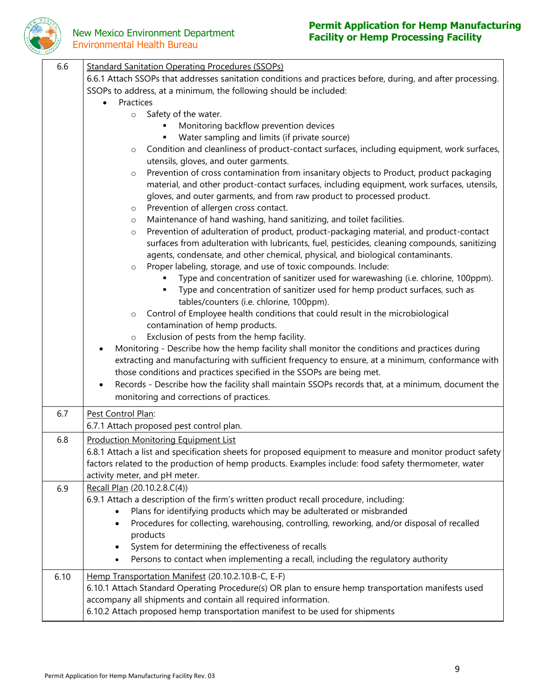

## Environmental Health Bureau

## **Permit Application for Hemp Manufacturing New Mexico Environment Department**<br> **Facility or Hemp Processing Facility**

| 6.6  | <b>Standard Sanitation Operating Procedures (SSOPs)</b>                                                                                                                        |
|------|--------------------------------------------------------------------------------------------------------------------------------------------------------------------------------|
|      | 6.6.1 Attach SSOPs that addresses sanitation conditions and practices before, during, and after processing.                                                                    |
|      | SSOPs to address, at a minimum, the following should be included:                                                                                                              |
|      | Practices<br>$\bullet$                                                                                                                                                         |
|      | Safety of the water.<br>$\circ$                                                                                                                                                |
|      | Monitoring backflow prevention devices                                                                                                                                         |
|      | Water sampling and limits (if private source)                                                                                                                                  |
|      | Condition and cleanliness of product-contact surfaces, including equipment, work surfaces,<br>$\circ$                                                                          |
|      | utensils, gloves, and outer garments.                                                                                                                                          |
|      | Prevention of cross contamination from insanitary objects to Product, product packaging<br>$\circ$                                                                             |
|      | material, and other product-contact surfaces, including equipment, work surfaces, utensils,                                                                                    |
|      | gloves, and outer garments, and from raw product to processed product.                                                                                                         |
|      | Prevention of allergen cross contact.<br>$\circ$                                                                                                                               |
|      | Maintenance of hand washing, hand sanitizing, and toilet facilities.<br>$\circ$                                                                                                |
|      | Prevention of adulteration of product, product-packaging material, and product-contact<br>$\circ$                                                                              |
|      | surfaces from adulteration with lubricants, fuel, pesticides, cleaning compounds, sanitizing<br>agents, condensate, and other chemical, physical, and biological contaminants. |
|      | Proper labeling, storage, and use of toxic compounds. Include:<br>$\circ$                                                                                                      |
|      | Type and concentration of sanitizer used for warewashing (i.e. chlorine, 100ppm).                                                                                              |
|      | Type and concentration of sanitizer used for hemp product surfaces, such as                                                                                                    |
|      | tables/counters (i.e. chlorine, 100ppm).                                                                                                                                       |
|      | Control of Employee health conditions that could result in the microbiological<br>$\circ$                                                                                      |
|      | contamination of hemp products.                                                                                                                                                |
|      | Exclusion of pests from the hemp facility.<br>$\circ$                                                                                                                          |
|      | Monitoring - Describe how the hemp facility shall monitor the conditions and practices during                                                                                  |
|      | extracting and manufacturing with sufficient frequency to ensure, at a minimum, conformance with                                                                               |
|      | those conditions and practices specified in the SSOPs are being met.                                                                                                           |
|      | Records - Describe how the facility shall maintain SSOPs records that, at a minimum, document the                                                                              |
|      | monitoring and corrections of practices.                                                                                                                                       |
| 6.7  | Pest Control Plan:                                                                                                                                                             |
|      | 6.7.1 Attach proposed pest control plan.                                                                                                                                       |
| 6.8  | <b>Production Monitoring Equipment List</b>                                                                                                                                    |
|      | 6.8.1 Attach a list and specification sheets for proposed equipment to measure and monitor product safety                                                                      |
|      | factors related to the production of hemp products. Examples include: food safety thermometer, water                                                                           |
|      | activity meter, and pH meter.                                                                                                                                                  |
| 6.9  | Recall Plan (20.10.2.8.C(4))                                                                                                                                                   |
|      | 6.9.1 Attach a description of the firm's written product recall procedure, including:                                                                                          |
|      | Plans for identifying products which may be adulterated or misbranded                                                                                                          |
|      | Procedures for collecting, warehousing, controlling, reworking, and/or disposal of recalled<br>$\bullet$<br>products                                                           |
|      | System for determining the effectiveness of recalls                                                                                                                            |
|      | Persons to contact when implementing a recall, including the regulatory authority<br>٠                                                                                         |
|      |                                                                                                                                                                                |
| 6.10 | Hemp Transportation Manifest (20.10.2.10.B-C, E-F)                                                                                                                             |
|      | 6.10.1 Attach Standard Operating Procedure(s) OR plan to ensure hemp transportation manifests used                                                                             |
|      | accompany all shipments and contain all required information.                                                                                                                  |
|      | 6.10.2 Attach proposed hemp transportation manifest to be used for shipments                                                                                                   |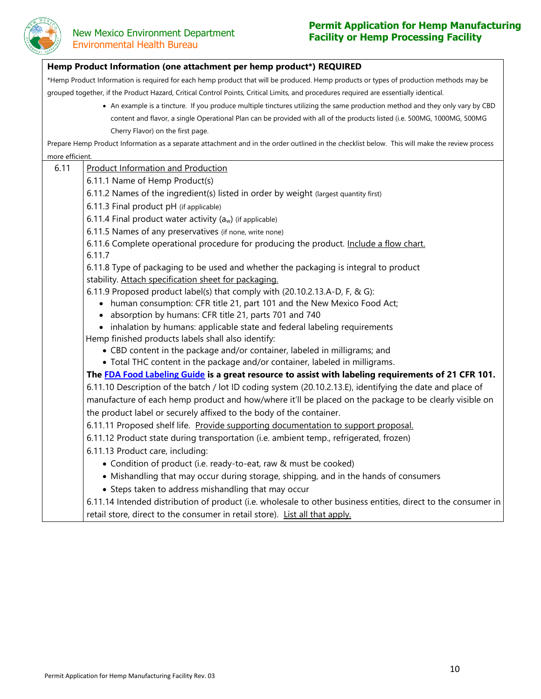

## **Permit Application for Hemp Manufacturing New Mexico Environment Department**

## Hemp Product Information (one attachment per hemp product\*) REQUIRED \*Hemp Product Information is required for each hemp product that will be produced. Hemp products or types of production methods may be grouped together, if the Product Hazard, Critical Control Points, Critical Limits, and procedures required are essentially identical. • An example is a tincture. If you produce multiple tinctures utilizing the same production method and they only vary by CBD content and flavor, a single Operational Plan can be provided with all of the products listed (i.e. 500MG, 1000MG, 500MG Cherry Flavor) on the first page. Prepare Hemp Product Information as a separate attachment and in the order outlined in the checklist below. This will make the review process more efficient. 6.11 Product Information and Production 6.11.1 Name of Hemp Product(s) 6.11.2 Names of the ingredient(s) listed in order by weight (largest quantity first) 6.11.3 Final product pH (if applicable) 6.11.4 Final product water activity  $(a_w)$  (if applicable) 6.11.5 Names of any preservatives (if none, write none) 6.11.6 Complete operational procedure for producing the product. Include a flow chart. 6.11.7 6.11.8 Type of packaging to be used and whether the packaging is integral to product stability. Attach specification sheet for packaging. 6.11.9 Proposed product label(s) that comply with (20.10.2.13.A-D, F, & G): • human consumption: CFR title 21, part 101 and the New Mexico Food Act; • absorption by humans: CFR title 21, parts 701 and 740 • inhalation by humans: applicable state and federal labeling requirements Hemp finished products labels shall also identify: • CBD content in the package and/or container, labeled in milligrams; and • Total THC content in the package and/or container, labeled in milligrams. **The [FDA Food Labeling Guide](https://www.fda.gov/regulatory-information/search-fda-guidance-documents/guidance-industry-food-labeling-guide) is a great resource to assist with labeling requirements of 21 CFR 101.** 6.11.10 Description of the batch / lot ID coding system (20.10.2.13.E), identifying the date and place of manufacture of each hemp product and how/where it'll be placed on the package to be clearly visible on the product label or securely affixed to the body of the container. 6.11.11 Proposed shelf life. Provide supporting documentation to support proposal. 6.11.12 Product state during transportation (i.e. ambient temp., refrigerated, frozen) 6.11.13 Product care, including: • Condition of product (i.e. ready-to-eat, raw & must be cooked) • Mishandling that may occur during storage, shipping, and in the hands of consumers • Steps taken to address mishandling that may occur 6.11.14 Intended distribution of product (i.e. wholesale to other business entities, direct to the consumer in retail store, direct to the consumer in retail store). List all that apply.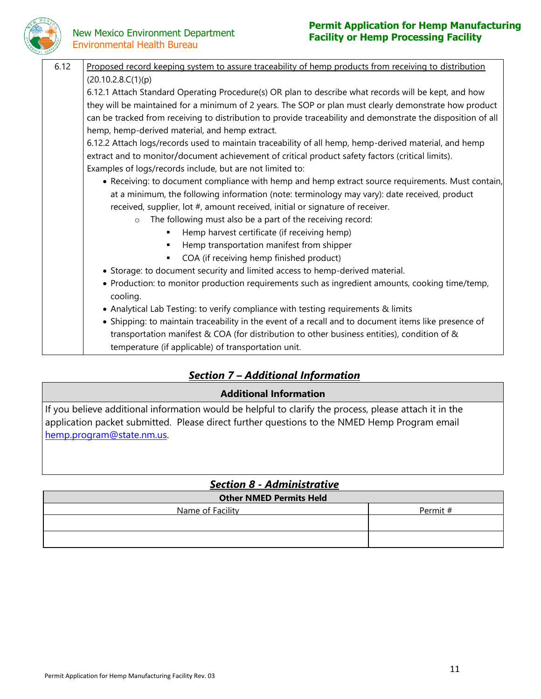

# Environmental Health Bureau

## **Permit Application for Hemp Manufacturing Facility or Hemp Processing Facility**<br>**Facility or Hemp Processing Facility**

| 6.12 | Proposed record keeping system to assure traceability of hemp products from receiving to distribution        |
|------|--------------------------------------------------------------------------------------------------------------|
|      | (20.10.2.8.C(1)(p))                                                                                          |
|      | 6.12.1 Attach Standard Operating Procedure(s) OR plan to describe what records will be kept, and how         |
|      | they will be maintained for a minimum of 2 years. The SOP or plan must clearly demonstrate how product       |
|      | can be tracked from receiving to distribution to provide traceability and demonstrate the disposition of all |
|      | hemp, hemp-derived material, and hemp extract.                                                               |
|      | 6.12.2 Attach logs/records used to maintain traceability of all hemp, hemp-derived material, and hemp        |
|      | extract and to monitor/document achievement of critical product safety factors (critical limits).            |
|      | Examples of logs/records include, but are not limited to:                                                    |
|      | • Receiving: to document compliance with hemp and hemp extract source requirements. Must contain,            |
|      | at a minimum, the following information (note: terminology may vary): date received, product                 |
|      | received, supplier, lot #, amount received, initial or signature of receiver.                                |
|      | The following must also be a part of the receiving record:<br>$\circ$                                        |
|      | Hemp harvest certificate (if receiving hemp)<br>٠                                                            |
|      | Hemp transportation manifest from shipper<br>$\blacksquare$                                                  |
|      | COA (if receiving hemp finished product)<br>٠                                                                |
|      | • Storage: to document security and limited access to hemp-derived material.                                 |
|      | • Production: to monitor production requirements such as ingredient amounts, cooking time/temp,<br>cooling.  |
|      | • Analytical Lab Testing: to verify compliance with testing requirements & limits                            |
|      | • Shipping: to maintain traceability in the event of a recall and to document items like presence of         |
|      | transportation manifest & COA (for distribution to other business entities), condition of &                  |
|      | temperature (if applicable) of transportation unit.                                                          |

## *Section 7 – Additional Information*

### **Additional Information**

If you believe additional information would be helpful to clarify the process, please attach it in the application packet submitted. Please direct further questions to the NMED Hemp Program email [hemp.program@state.nm.us.](mailto:hemp.program@state.nm.us)

## *Section 8 - Administrative*

| <b>Other NMED Permits Held</b> |          |  |  |  |  |
|--------------------------------|----------|--|--|--|--|
| Name of Facility               | Permit # |  |  |  |  |
|                                |          |  |  |  |  |
|                                |          |  |  |  |  |